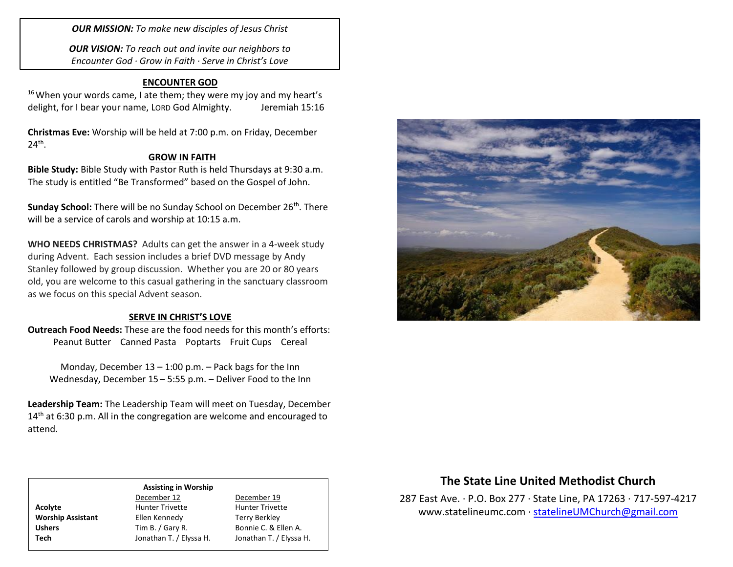*OUR MISSION: To make new disciples of Jesus Christ*

*OUR VISION: To reach out and invite our neighbors to Encounter God · Grow in Faith · Serve in Christ's Love*

# **ENCOUNTER GOD**

 $16$  When your words came, I ate them; they were my joy and my heart's delight, for I bear your name, LORD God Almighty. Jeremiah 15:16

**Christmas Eve:** Worship will be held at 7:00 p.m. on Friday, December  $24^{\text{th}}$ .

## **GROW IN FAITH**

**Bible Study:** Bible Study with Pastor Ruth is held Thursdays at 9:30 a.m. The study is entitled "Be Transformed" based on the Gospel of John.

**Sunday School:** There will be no Sunday School on December 26<sup>th</sup>. There will be a service of carols and worship at 10:15 a.m.

**WHO NEEDS CHRISTMAS?** Adults can get the answer in a 4-week study during Advent. Each session includes a brief DVD message by Andy Stanley followed by group discussion. Whether you are 20 or 80 years old, you are welcome to this casual gathering in the sanctuary classroom as we focus on this special Advent season.

## **SERVE IN CHRIST'S LOVE**

**Outreach Food Needs:** These are the food needs for this month's efforts: Peanut Butter Canned Pasta Poptarts Fruit Cups Cereal

Monday, December  $13 - 1:00$  p.m.  $-$  Pack bags for the Inn Wednesday, December 15 – 5:55 p.m. – Deliver Food to the Inn

**Leadership Team:** The Leadership Team will meet on Tuesday, December 14<sup>th</sup> at 6:30 p.m. All in the congregation are welcome and encouraged to attend.



# **The State Line United Methodist Church**

287 East Ave. · P.O. Box 277 · State Line, PA 17263 · 717-597-4217 [www.statelineumc.com](http://www.statelineumc.com/) · [statelineUMChurch@gmail.com](mailto:statelineUMChurch@gmail.com)

#### **Assisting in Worship**

Acolyte **Acolyte** Hunter Trivette **Hunter Trivette Worship Assistant** Ellen Kennedy Terry Berkley Ushers Tim B. / Gary R. Bonnie C. & Ellen A. **Tech** Jonathan T. / Elyssa H. Jonathan T. / Elyssa H.

December 12 December 19